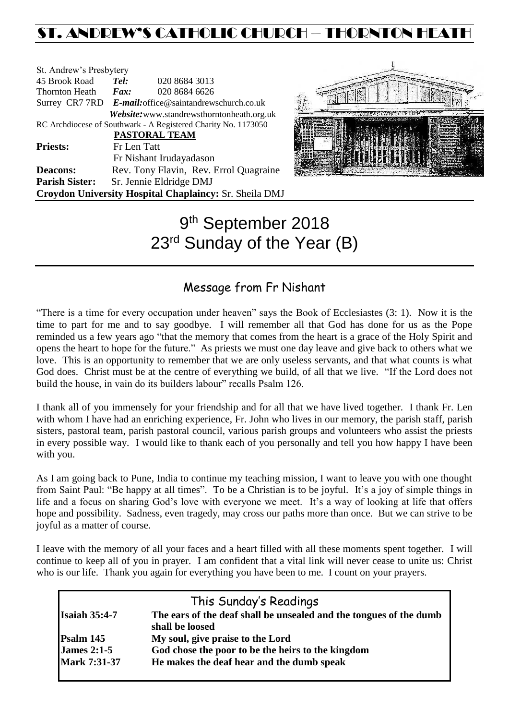# ST. ANDREW'S CATHOLIC CHURCH – THORNTON HEA

| St. Andrew's Presbytery                                        |                                                        |                                            |  |  |
|----------------------------------------------------------------|--------------------------------------------------------|--------------------------------------------|--|--|
| 45 Brook Road                                                  | Tel:                                                   | 020 8684 3013                              |  |  |
| <b>Thornton Heath</b>                                          | $\boldsymbol{F}$ <i>ax</i> :                           | 020 8684 6626                              |  |  |
|                                                                | Surrey CR7 7RD E-mail: office@saintandrewschurch.co.uk |                                            |  |  |
|                                                                |                                                        | Website: www.standrewsthorntonheath.org.uk |  |  |
| RC Archdiocese of Southwark - A Registered Charity No. 1173050 |                                                        |                                            |  |  |
| <b>PASTORAL TEAM</b>                                           |                                                        |                                            |  |  |
| <b>Priests:</b>                                                | Fr Len Tatt                                            |                                            |  |  |
|                                                                |                                                        | Fr Nishant Irudayadason                    |  |  |
| <b>Deacons:</b>                                                |                                                        | Rev. Tony Flavin, Rev. Errol Quagraine     |  |  |
| <b>Parish Sister:</b>                                          |                                                        | Sr. Jennie Eldridge DMJ                    |  |  |
| <b>Croydon University Hospital Chaplaincy: Sr. Sheila DMJ</b>  |                                                        |                                            |  |  |



# 9<sup>th</sup> September 2018 23<sup>rd</sup> Sunday of the Year (B)

# Message from Fr Nishant

"There is a time for every occupation under heaven" says the Book of Ecclesiastes (3: 1). Now it is the time to part for me and to say goodbye. I will remember all that God has done for us as the Pope reminded us a few years ago "that the memory that comes from the heart is a grace of the Holy Spirit and opens the heart to hope for the future." As priests we must one day leave and give back to others what we love. This is an opportunity to remember that we are only useless servants, and that what counts is what God does. Christ must be at the centre of everything we build, of all that we live. "If the Lord does not build the house, in vain do its builders labour" recalls Psalm 126.

I thank all of you immensely for your friendship and for all that we have lived together. I thank Fr. Len with whom I have had an enriching experience, Fr. John who lives in our memory, the parish staff, parish sisters, pastoral team, parish pastoral council, various parish groups and volunteers who assist the priests in every possible way. I would like to thank each of you personally and tell you how happy I have been with you.

As I am going back to Pune, India to continue my teaching mission, I want to leave you with one thought from Saint Paul: "Be happy at all times". To be a Christian is to be joyful. It's a joy of simple things in life and a focus on sharing God's love with everyone we meet. It's a way of looking at life that offers hope and possibility. Sadness, even tragedy, may cross our paths more than once. But we can strive to be joyful as a matter of course.

I leave with the memory of all your faces and a heart filled with all these moments spent together. I will continue to keep all of you in prayer. I am confident that a vital link will never cease to unite us: Christ who is our life. Thank you again for everything you have been to me. I count on your prayers.

|                      | This Sunday's Readings                                             |  |
|----------------------|--------------------------------------------------------------------|--|
| <b>Isaiah 35:4-7</b> | The ears of the deaf shall be unsealed and the tongues of the dumb |  |
|                      | shall be loosed                                                    |  |
| Psalm 145            | My soul, give praise to the Lord                                   |  |
| <b>James 2:1-5</b>   | God chose the poor to be the heirs to the kingdom                  |  |
| <b>Mark 7:31-37</b>  | He makes the deaf hear and the dumb speak                          |  |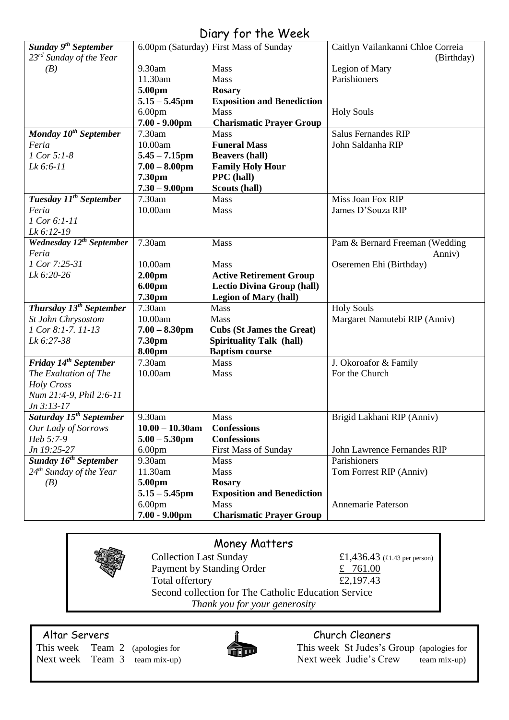#### *Sunday 9 th September 23rd Sunday of the Year (B)*  6.00pm (Saturday) First Mass of Sunday 9.30am Mass 11.30am Mass **5.00pm Rosary 5.15 – 5.45pm Exposition and Benediction** 6.00pm Mass<br>**7.00 - 9.00pm Char 7.00 - 9.00pm Charismatic Prayer Group**  Caitlyn Vailankanni Chloe Correia (Birthday) Legion of Mary Parishioners Holy Souls *Monday 10th September Feria 1 Cor 5:1-8 Lk 6:6-11* 7.30am Mass 10.00am **Funeral Mass**<br>5.45 – 7.15pm Beavers (hall) **5.45 – 7.15pm Beavers (hall) Family Holy Hour 7.30pm PPC (hall)**<br>**7.30 – 9.00pm Scouts (hall)**  $7.30 - 9.00$ pm Salus Fernandes RIP John Saldanha RIP *Tuesday 11th September Feria 1 Cor 6:1-11 Lk 6:12-19* 7.30am Mass  $10.00am$ Miss Joan Fox RIP James D'Souza RIP *Wednesday 12th September Feria 1 Cor 7:25-31 Lk 6:20-26* 7.30am Mass 10.00am Mass<br> **2.00pm Activ 2.00pm Active Retirement Group**<br>**6.00pm Lectio Divina Group** (hall **Lectio Divina Group (hall) 7.30pm Legion of Mary (hall)** Pam & Bernard Freeman (Wedding Anniv) Oseremen Ehi (Birthday) *Thursday 13th September St John Chrysostom 1 Cor 8:1-7. 11-13 Lk 6:27-38* 7.30am Mass 10.00am Mass<br>**7.00 – 8.30pm Cubs 7.00 – 8.30pm Cubs (St James the Great) 7.30pm Spirituality Talk (hall) 8.00pm Baptism course** Holy Souls Margaret Namutebi RIP (Anniv) *Friday 14th September The Exaltation of The Holy Cross Num 21:4-9, Phil 2:6-11 Jn 3:13-17* 7.30am Mass 10.00am Mass J. Okoroafor & Family For the Church *Saturday 15th September Our Lady of Sorrows Heb 5:7-9 Jn 19:25-27* 9.30am Mass **10.00 – 10.30am Confessions 5.00 – 5.30pm Confessions** 6.00pm First Mass of Sunday Brigid Lakhani RIP (Anniv) John Lawrence Fernandes RIP *Sunday 16th September 24th Sunday of the Year (B)* 9.30am Mass 11.30am Mass **5.00pm Rosary 5.15 – 5.45pm Exposition and Benediction** 6.00pm Mass **7.00 - 9.00pm Charismatic Prayer Group** Parishioners Tom Forrest RIP (Anniv) Annemarie Paterson

# Diary for the Week

### Money Matters

Collection Last Sunday £1,436.43 (£1.43 per person) Payment by Standing Order  $\qquad \qquad \text{\pounds} \quad 761.00$ Total offertory  $£2,197.43$ Second collection for The Catholic Education Service *Thank you for your generosity*



# Altar Servers and the servers of the servers of the church Cleaners church Cleaners

This week Team 2 (apologies for This week St Judes's Group (apologies for Next week Team 3 team mix-up) Next week Judie's Crew team mix-up)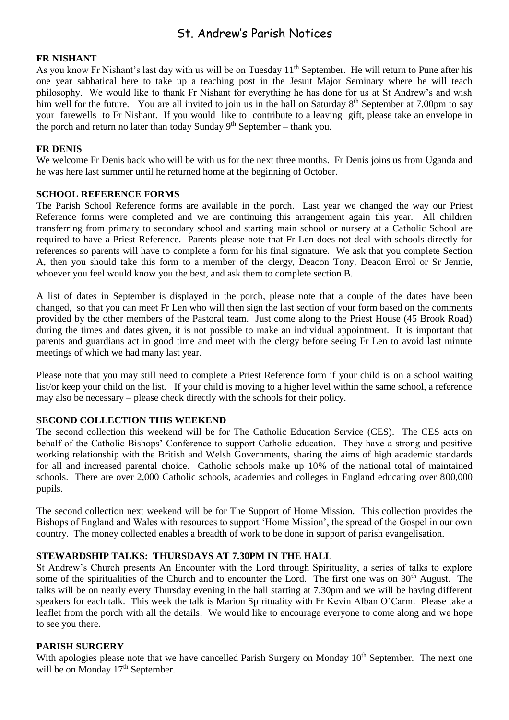# St. Andrew's Parish Notices

#### **FR NISHANT**

As you know Fr Nishant's last day with us will be on Tuesday 11<sup>th</sup> September. He will return to Pune after his one year sabbatical here to take up a teaching post in the Jesuit Major Seminary where he will teach philosophy. We would like to thank Fr Nishant for everything he has done for us at St Andrew's and wish him well for the future. You are all invited to join us in the hall on Saturday 8<sup>th</sup> September at 7.00pm to say your farewells to Fr Nishant. If you would like to contribute to a leaving gift, please take an envelope in the porch and return no later than today Sunday  $9<sup>th</sup>$  September – thank you.

#### **FR DENIS**

We welcome Fr Denis back who will be with us for the next three months. Fr Denis joins us from Uganda and he was here last summer until he returned home at the beginning of October.

#### **SCHOOL REFERENCE FORMS**

The Parish School Reference forms are available in the porch. Last year we changed the way our Priest Reference forms were completed and we are continuing this arrangement again this year. All children transferring from primary to secondary school and starting main school or nursery at a Catholic School are required to have a Priest Reference. Parents please note that Fr Len does not deal with schools directly for references so parents will have to complete a form for his final signature. We ask that you complete Section A, then you should take this form to a member of the clergy, Deacon Tony, Deacon Errol or Sr Jennie, whoever you feel would know you the best, and ask them to complete section B.

A list of dates in September is displayed in the porch, please note that a couple of the dates have been changed, so that you can meet Fr Len who will then sign the last section of your form based on the comments provided by the other members of the Pastoral team. Just come along to the Priest House (45 Brook Road) during the times and dates given, it is not possible to make an individual appointment. It is important that parents and guardians act in good time and meet with the clergy before seeing Fr Len to avoid last minute meetings of which we had many last year.

Please note that you may still need to complete a Priest Reference form if your child is on a school waiting list/or keep your child on the list. If your child is moving to a higher level within the same school, a reference may also be necessary – please check directly with the schools for their policy.

#### **SECOND COLLECTION THIS WEEKEND**

The second collection this weekend will be for The Catholic Education Service (CES). The CES acts on behalf of the Catholic Bishops' Conference to support Catholic education. They have a strong and positive working relationship with the British and Welsh Governments, sharing the aims of high academic standards for all and increased parental choice. Catholic schools make up 10% of the national total of maintained schools. There are over 2,000 Catholic schools, academies and colleges in England educating over 800,000 pupils.

The second collection next weekend will be for The Support of Home Mission. This collection provides the Bishops of England and Wales with resources to support 'Home Mission', the spread of the Gospel in our own country. The money collected enables a breadth of work to be done in support of parish evangelisation.

#### **STEWARDSHIP TALKS: THURSDAYS AT 7.30PM IN THE HALL**

St Andrew's Church presents An Encounter with the Lord through Spirituality, a series of talks to explore some of the spiritualities of the Church and to encounter the Lord. The first one was on 30<sup>th</sup> August. The talks will be on nearly every Thursday evening in the hall starting at 7.30pm and we will be having different speakers for each talk. This week the talk is Marion Spirituality with Fr Kevin Alban O'Carm. Please take a leaflet from the porch with all the details. We would like to encourage everyone to come along and we hope to see you there.

#### **PARISH SURGERY**

With apologies please note that we have cancelled Parish Surgery on Monday 10<sup>th</sup> September. The next one will be on Monday 17<sup>th</sup> September.